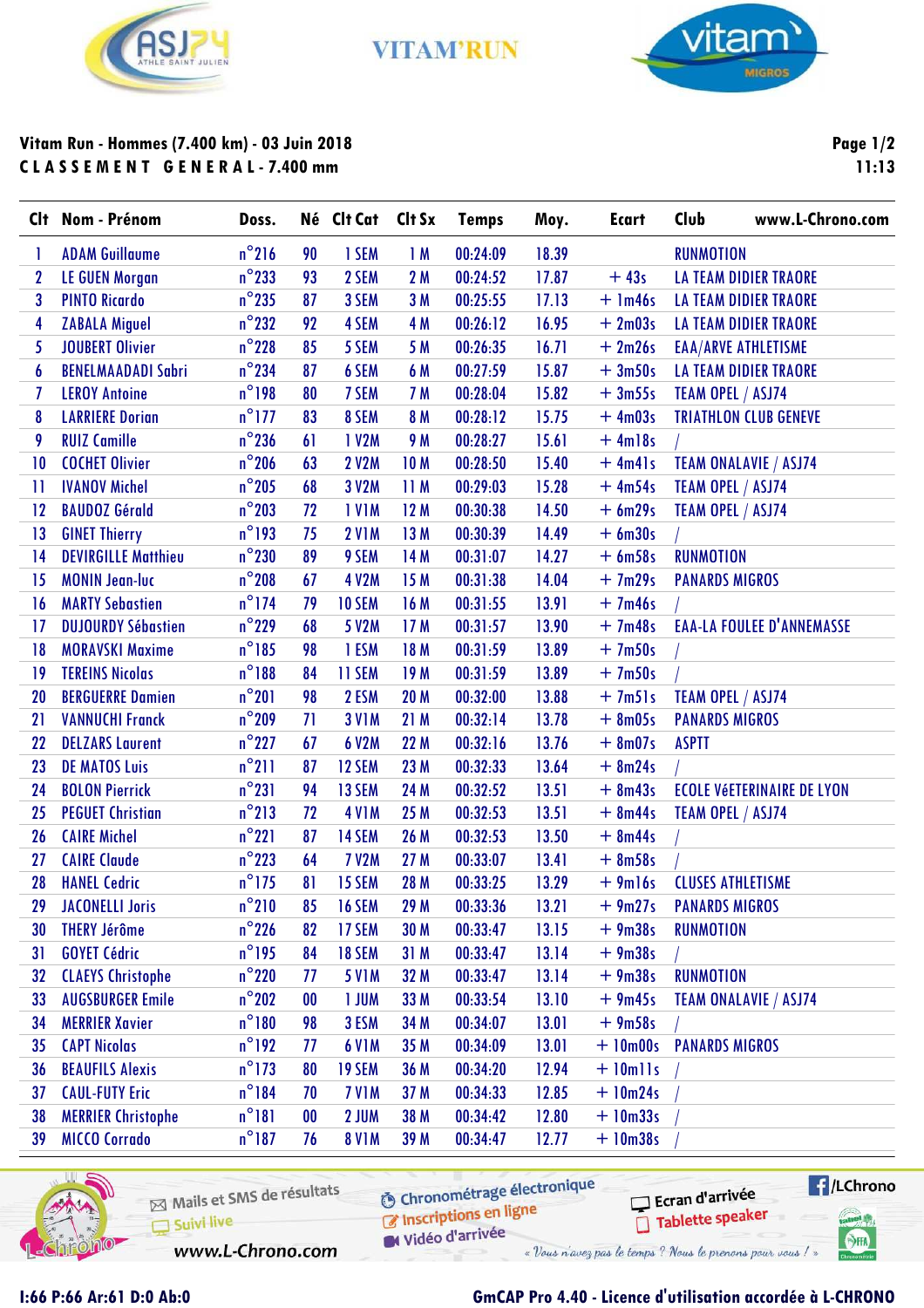

**VITAM'RUN** 



## **Vitam Run - Hommes (7.400 km) - 03 Juin 2018 C L A S S E M E N T G E N E R A L - 7.400 mm**

**Page 1/2 11:13**

|    | Clt Nom - Prénom           | Doss.           |                   | Né Clt Cat Clt Sx |                 | <b>Temps</b> | Moy.  | <b>Ecart</b> | <b>Club</b>              | www.L-Chrono.com                  |
|----|----------------------------|-----------------|-------------------|-------------------|-----------------|--------------|-------|--------------|--------------------------|-----------------------------------|
|    | <b>ADAM Guillaume</b>      | $n^{\circ}216$  | 90                | 1 SEM             | 1M              | 00:24:09     | 18.39 |              | <b>RUNMOTION</b>         |                                   |
| 2  | <b>LE GUEN Morgan</b>      | $n^{\circ}$ 233 | 93                | 2 SEM             | 2M              | 00:24:52     | 17.87 | $+43s$       |                          | <b>LA TEAM DIDIER TRAORE</b>      |
| 3  | <b>PINTO Ricardo</b>       | $n^{\circ}$ 235 | 87                | 3 SEM             | 3M              | 00:25:55     | 17.13 | $+$ 1m46s    |                          | <b>LA TEAM DIDIER TRAORE</b>      |
| 4  | <b>ZABALA Miguel</b>       | $n^{\circ}$ 232 | 92                | 4 SEM             | 4 M             | 00:26:12     | 16.95 | $+2m03s$     |                          | <b>LA TEAM DIDIER TRAORE</b>      |
| 5  | <b>JOUBERT Olivier</b>     | $n^{\circ}$ 228 | 85                | 5 SEM             | 5 M             | 00:26:35     | 16.71 | $+2m26s$     |                          | <b>EAA/ARVE ATHLETISME</b>        |
| 6  | <b>BENELMAADADI Sabri</b>  | $n^{\circ}$ 234 | 87                | 6 SEM             | 6 M             | 00:27:59     | 15.87 | $+3m50s$     |                          | <b>LA TEAM DIDIER TRAORE</b>      |
| 7  | <b>LEROY Antoine</b>       | $n^{\circ}$ 198 | 80                | 7 SEM             | <b>7 M</b>      | 00:28:04     | 15.82 | $+3m55s$     | TEAM OPEL / ASJ74        |                                   |
| 8  | <b>LARRIERE Dorian</b>     | $n^{\circ}$ 177 | 83                | 8 SEM             | 8 M             | 00:28:12     | 15.75 | $+4m03s$     |                          | <b>TRIATHLON CLUB GENEVE</b>      |
| 9  | <b>RUIZ Camille</b>        | $n^{\circ}$ 236 | 61                | 1 V2M             | <b>9 M</b>      | 00:28:27     | 15.61 | $+4m18s$     |                          |                                   |
| 10 | <b>COCHET Olivier</b>      | $n^{\circ}$ 206 | 63                | <b>2 V2M</b>      | 10 <sub>M</sub> | 00:28:50     | 15.40 | $+ 4m4$      |                          | <b>TEAM ONALAVIE / ASJ74</b>      |
| Ħ  | <b>IVANOV Michel</b>       | $n^{\circ}$ 205 | 68                | 3 V2M             | 11 M            | 00:29:03     | 15.28 | $+4m54s$     | TEAM OPEL / ASJ74        |                                   |
| 12 | <b>BAUDOZ Gérald</b>       | $n^{\circ}$ 203 | 72                | <b>IVIM</b>       | 12 M            | 00:30:38     | 14.50 | $+6m29s$     | TEAM OPEL / ASJ74        |                                   |
| 13 | <b>GINET Thierry</b>       | $n^{\circ}$ 193 | 75                | <b>2 V1M</b>      | 13 M            | 00:30:39     | 14.49 | $+6m30s$     |                          |                                   |
| 14 | <b>DEVIRGILLE Matthieu</b> | $n^{\circ}$ 230 | 89                | 9 SEM             | 14 M            | 00:31:07     | 14.27 | $+ 6m58s$    | <b>RUNMOTION</b>         |                                   |
| 15 | <b>MONIN Jean-luc</b>      | $n^{\circ}$ 208 | 67                | <b>4 V2M</b>      | 15 M            | 00:31:38     | 14.04 | $+7m29s$     | <b>PANARDS MIGROS</b>    |                                   |
| 16 | <b>MARTY Sebastien</b>     | $n^{\circ}$ 174 | 79                | <b>10 SEM</b>     | 16 M            | 00:31:55     | 13.91 | $+7m46s$     |                          |                                   |
| 17 | <b>DUJOURDY Sébastien</b>  | $n^{\circ}$ 229 | 68                | <b>5 V2M</b>      | 17 M            | 00:31:57     | 13.90 | $+7m48s$     |                          | <b>EAA-LA FOULEE D'ANNEMASSE</b>  |
| 18 | <b>MORAVSKI Maxime</b>     | $n^{\circ}$ 185 | 98                | 1 ESM             | 18 M            | 00:31:59     | 13.89 | $+7m50s$     |                          |                                   |
| 19 | <b>TEREINS Nicolas</b>     | $n^{\circ}188$  | 84                | <b>11 SEM</b>     | 19 <sub>M</sub> | 00:31:59     | 13.89 | $+7m50s$     |                          |                                   |
| 20 | <b>BERGUERRE Damien</b>    | $n^{\circ}201$  | 98                | 2 ESM             | <b>20 M</b>     | 00:32:00     | 13.88 | $+7m51s$     | TEAM OPEL / ASJ74        |                                   |
| 21 | <b>VANNUCHI Franck</b>     | $n^{\circ}$ 209 | 71                | <b>3 V1M</b>      | 21 M            | 00:32:14     | 13.78 | $+ 8m05s$    | <b>PANARDS MIGROS</b>    |                                   |
| 22 | <b>DELZARS Laurent</b>     | $n^{\circ}$ 227 | 67                | 6 V2M             | 22 M            | 00:32:16     | 13.76 | $+ 8m07s$    | <b>ASPTT</b>             |                                   |
| 23 | <b>DE MATOS Luis</b>       | $n^{\circ}$ 211 | 87                | 12 SEM            | 23 M            | 00:32:33     | 13.64 | $+ 8m24s$    |                          |                                   |
| 24 | <b>BOLON Pierrick</b>      | $n^{\circ}231$  | 94                | 13 SEM            | 24 M            | 00:32:52     | 13.51 | $+ 8m43s$    |                          | <b>ECOLE VÉETERINAIRE DE LYON</b> |
| 25 | <b>PEGUET Christian</b>    | $n^{\circ}213$  | 72                | <b>4 V1M</b>      | 25 M            | 00:32:53     | 13.51 | $+ 8m44s$    | TEAM OPEL / ASJ74        |                                   |
| 26 | <b>CAIRE Michel</b>        | $n^{\circ}221$  | 87                | 14 SEM            | 26 M            | 00:32:53     | 13.50 | $+ 8m44s$    |                          |                                   |
| 27 | <b>CAIRE Claude</b>        | $n^{\circ}$ 223 | 64                | <b>7 V2M</b>      | 27 M            | 00:33:07     | 13.41 | $+8m58s$     |                          |                                   |
| 28 | <b>HANEL Cedric</b>        | $n^{\circ}$ 175 | 81                | 15 SEM            | 28 M            | 00:33:25     | 13.29 | $+9m16s$     | <b>CLUSES ATHLETISME</b> |                                   |
| 29 | <b>JACONELLI Joris</b>     | $n^{\circ}$ 210 | 85                | <b>16 SEM</b>     | 29 M            | 00:33:36     | 13.21 | $+9m27s$     | <b>PANARDS MIGROS</b>    |                                   |
| 30 | <b>THERY Jérôme</b>        | $n^{\circ}$ 226 | 82                | 17 SEM            | 30 M            | 00:33:47     | 13.15 | $+9m38s$     | <b>RUNMOTION</b>         |                                   |
| 31 | <b>GOYET Cédric</b>        | $n^{\circ}$ 195 | 84                | <b>18 SEM</b>     | 31M             | 00:33:47     | 13.14 | $+9m38s$     |                          |                                   |
| 32 | <b>CLAEYS Christophe</b>   | $n^{\circ}$ 220 | 77                | <b>5 V1M</b>      | 32 M            | 00:33:47     | 13.14 | $+9m38s$     | <b>RUNMOTION</b>         |                                   |
| 33 | <b>AUGSBURGER Emile</b>    | $n^{\circ}202$  | $\boldsymbol{00}$ | <b>1 JUM</b>      | 33 M            | 00:33:54     | 13.10 | $+9m45s$     |                          | TEAM ONALAVIE / ASJ74             |
| 34 | <b>MERRIER Xavier</b>      | $n^{\circ}180$  | 98                | 3 ESM             | 34 M            | 00:34:07     | 13.01 | $+9m58s$     |                          |                                   |
| 35 | <b>CAPT Nicolas</b>        | $n^{\circ}$ 192 | 77                | <b>6 V1M</b>      | 35 M            | 00:34:09     | 13.01 | $+10m00s$    | <b>PANARDS MIGROS</b>    |                                   |
| 36 | <b>BEAUFILS Alexis</b>     | $n^{\circ}$ 173 | 80                | 19 SEM            | 36 M            | 00:34:20     | 12.94 | $+$ 10mlls   |                          |                                   |
| 37 | <b>CAUL-FUTY Eric</b>      | $n^{\circ}$ 184 | 70                | <b>7 V1M</b>      | 37 M            | 00:34:33     | 12.85 | $+10m24s$    |                          |                                   |
| 38 | <b>MERRIER Christophe</b>  | $n^{\circ}181$  | $\boldsymbol{00}$ | 2 JUM             | 38 M            | 00:34:42     | 12.80 | $+10m33s$    |                          |                                   |
| 39 | <b>MICCO Corrado</b>       | $n^{\circ}$ 187 | 76                | <b>8 V1M</b>      | 39 M            | 00:34:47     | 12.77 | $+10m38s$    |                          |                                   |



Mails et SMS de résultats Suivi live

**O** Chronométrage électronique

 $\blacksquare$ /LChrono Ecran d'arrivée Tablette speaker **Cabel P** 

 $\bigcirc$ HA

www.L-Chrono.com

C Inscriptions en ligne Widéo d'arrivée « Vous n'avez pas le temps ? Nous le prenons pour vous ! »

## **I:66 P:66 Ar:61 D:0 Ab:0 GmCAP Pro 4.40 - Licence d'utilisation accordée à L-CHRONO**